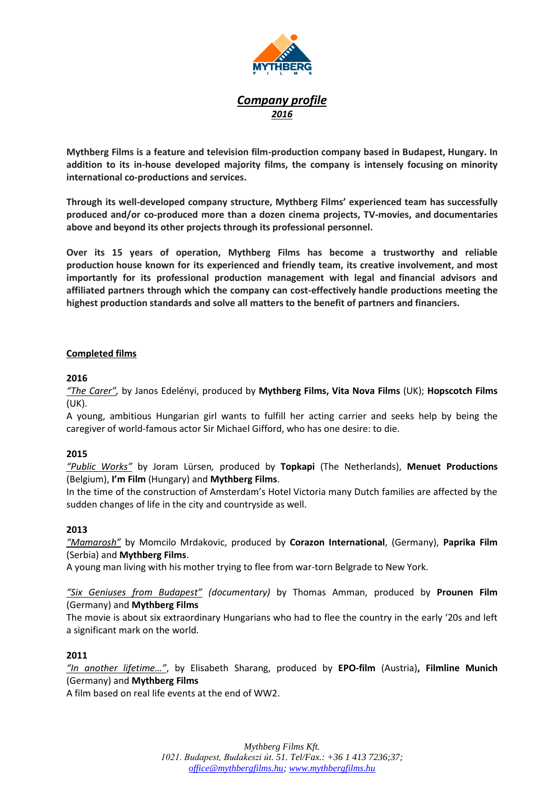

# *Company profile 2016*

**Mythberg Films is a feature and television film-production company based in Budapest, Hungary. In addition to its in-house developed majority films, the company is intensely focusing on minority international co-productions and services.**

**Through its well-developed company structure, Mythberg Films' experienced team has successfully produced and/or co-produced more than a dozen cinema projects, TV-movies, and documentaries above and beyond its other projects through its professional personnel.** 

**Over its 15 years of operation, Mythberg Films has become a trustworthy and reliable production house known for its experienced and friendly team, its creative involvement, and most importantly for its professional production management with legal and financial advisors and affiliated partners through which the company can cost-effectively handle productions meeting the highest production standards and solve all matters to the benefit of partners and financiers.**

### **Completed films**

### **2016**

*"The Carer",* by Janos Edelényi, produced by **Mythberg Films, Vita Nova Films** (UK); **Hopscotch Films** (UK).

A young, ambitious Hungarian girl wants to fulfill her acting carrier and seeks help by being the caregiver of world-famous actor Sir Michael Gifford, who has one desire: to die.

# **2015**

*"Public Works"* by Joram Lürsen*,* produced by **Topkapi** (The Netherlands), **Menuet Productions**  (Belgium), **I'm Film** (Hungary) and **Mythberg Films**.

In the time of the construction of Amsterdam's Hotel Victoria many Dutch families are affected by the sudden changes of life in the city and countryside as well.

#### **2013**

*"Mamarosh"* by Momcilo Mrdakovic, produced by **Corazon International**, (Germany), **Paprika Film** (Serbia) and **Mythberg Films**.

A young man living with his mother trying to flee from war-torn Belgrade to New York.

*"Six Geniuses from Budapest" (documentary)* by Thomas Amman, produced by **Prounen Film** (Germany) and **Mythberg Films**

The movie is about six extraordinary Hungarians who had to flee the country in the early '20s and left a significant mark on the world.

#### **2011**

*"In another lifetime…"*, by Elisabeth Sharang, produced by **EPO-film** (Austria)**, Filmline Munich** (Germany) and **Mythberg Films**

A film based on real life events at the end of WW2.